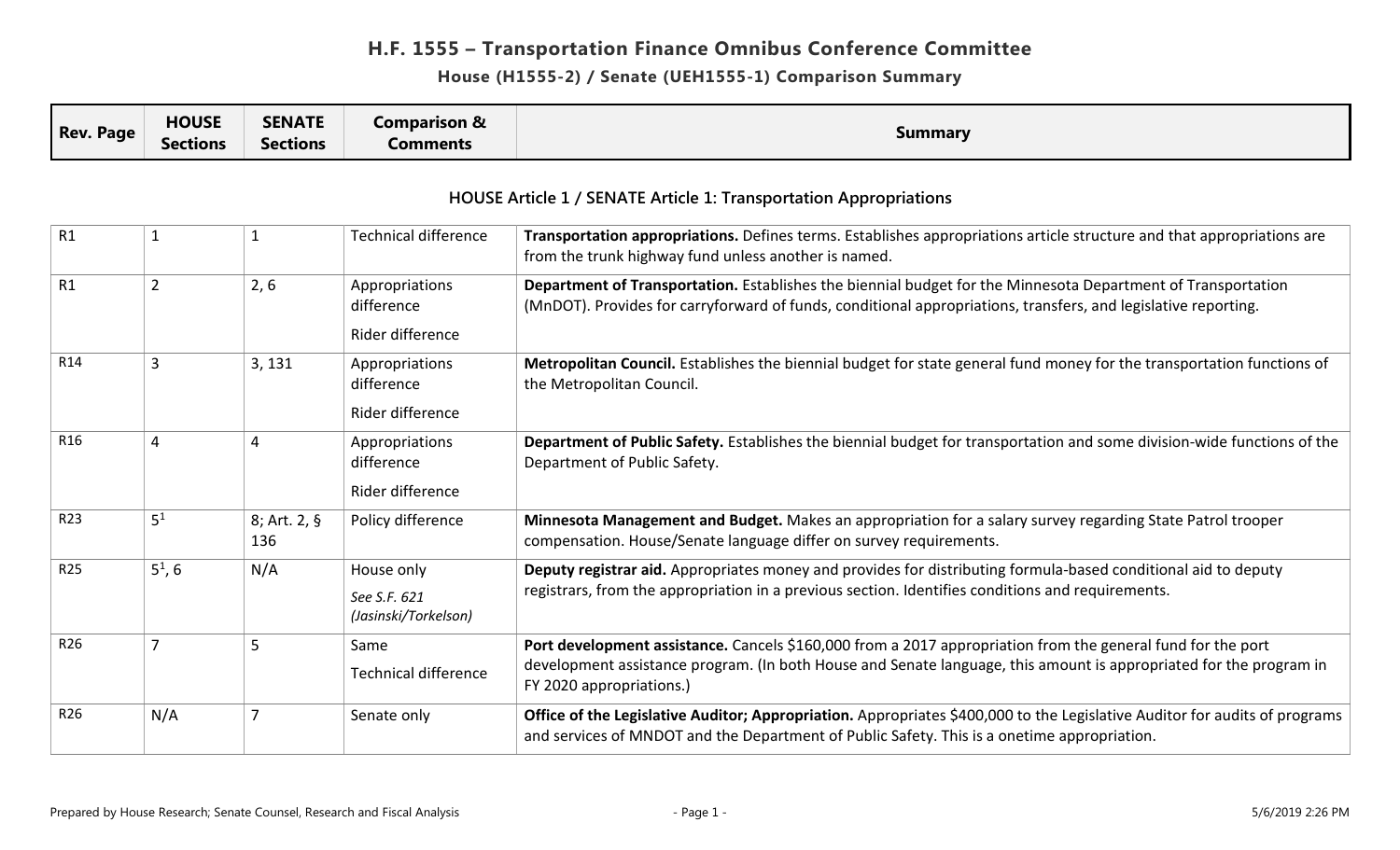#### **House (H1555-2) / Senate (UEH1555-1) Comparison Summary**

|                  | <b>HOUSE</b>    | <b>SENATE</b>   | Comparison & |         |
|------------------|-----------------|-----------------|--------------|---------|
| <b>Rev. Page</b> | <b>Sections</b> | <b>Sections</b> | Comments     | Summary |

| R1              | 1              |                       | <b>Technical difference</b>  | Transportation appropriations. Defines terms. Establishes appropriations article structure and that appropriations are<br>from the trunk highway fund unless another is named.                                                 |
|-----------------|----------------|-----------------------|------------------------------|--------------------------------------------------------------------------------------------------------------------------------------------------------------------------------------------------------------------------------|
| R1              | $\overline{2}$ | 2, 6                  | Appropriations<br>difference | Department of Transportation. Establishes the biennial budget for the Minnesota Department of Transportation<br>(MnDOT). Provides for carryforward of funds, conditional appropriations, transfers, and legislative reporting. |
|                 |                |                       | Rider difference             |                                                                                                                                                                                                                                |
| R14             | 3              | 3, 131                | Appropriations<br>difference | Metropolitan Council. Establishes the biennial budget for state general fund money for the transportation functions of<br>the Metropolitan Council.                                                                            |
|                 |                |                       | Rider difference             |                                                                                                                                                                                                                                |
| R <sub>16</sub> | 4              | 4                     | Appropriations<br>difference | Department of Public Safety. Establishes the biennial budget for transportation and some division-wide functions of the<br>Department of Public Safety.                                                                        |
|                 |                |                       | Rider difference             |                                                                                                                                                                                                                                |
| R23             | 5 <sup>1</sup> | $8;$ Art. 2, §<br>136 | Policy difference            | Minnesota Management and Budget. Makes an appropriation for a salary survey regarding State Patrol trooper<br>compensation. House/Senate language differ on survey requirements.                                               |
| R25             | $5^1, 6$       | N/A                   | House only                   | Deputy registrar aid. Appropriates money and provides for distributing formula-based conditional aid to deputy                                                                                                                 |
|                 |                |                       | See S.F. 621                 | registrars, from the appropriation in a previous section. Identifies conditions and requirements.                                                                                                                              |
|                 |                |                       | (Jasinski/Torkelson)         |                                                                                                                                                                                                                                |
| R <sub>26</sub> | 7              | 5                     | Same                         | Port development assistance. Cancels \$160,000 from a 2017 appropriation from the general fund for the port                                                                                                                    |
|                 |                |                       | <b>Technical difference</b>  | development assistance program. (In both House and Senate language, this amount is appropriated for the program in<br>FY 2020 appropriations.)                                                                                 |
| R26             | N/A            |                       | Senate only                  | Office of the Legislative Auditor; Appropriation. Appropriates \$400,000 to the Legislative Auditor for audits of programs<br>and services of MNDOT and the Department of Public Safety. This is a onetime appropriation.      |

#### **HOUSE Article 1 / SENATE Article 1: Transportation Appropriations**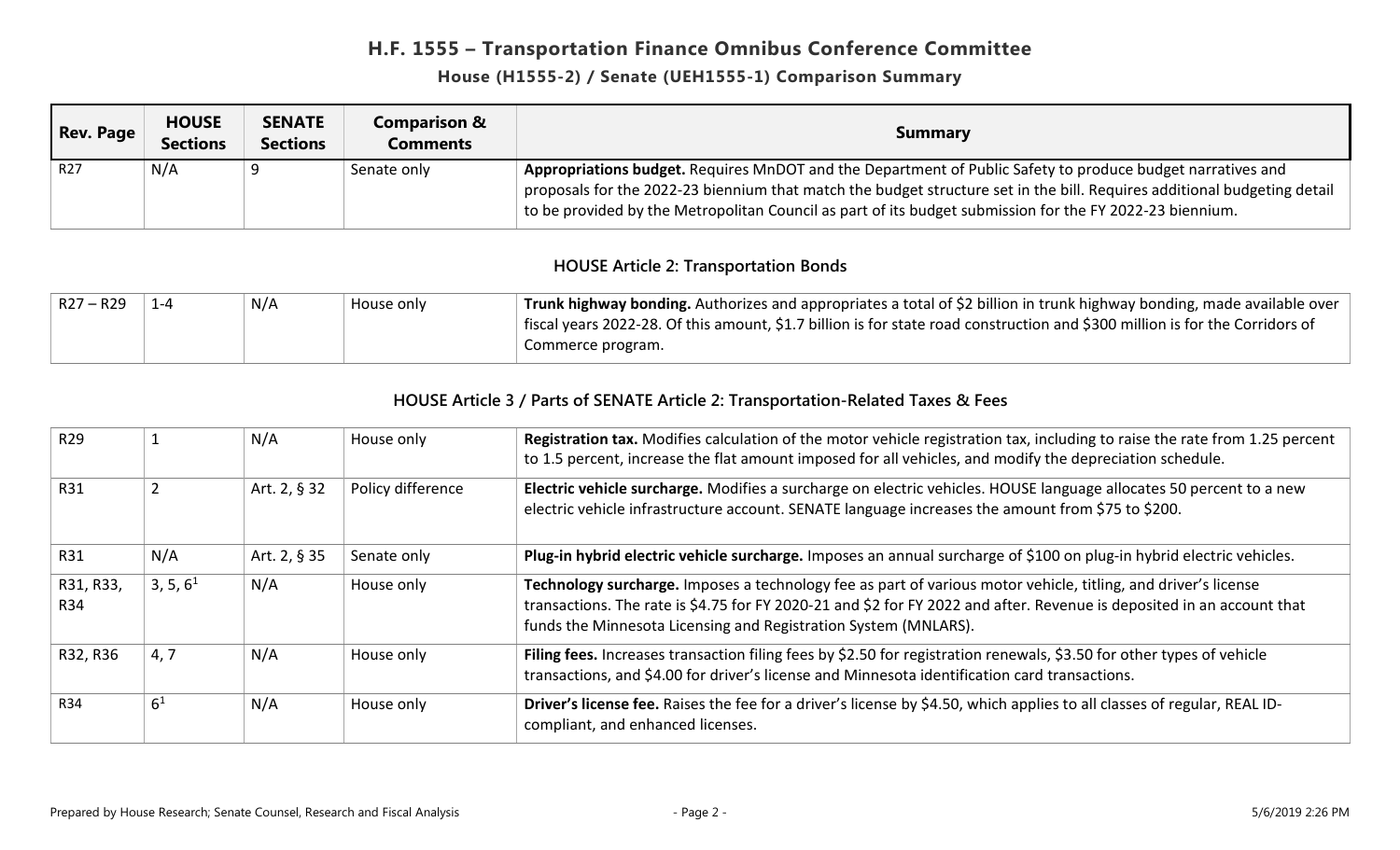#### **House (H1555-2) / Senate (UEH1555-1) Comparison Summary**

| <b>Rev. Page</b> | <b>HOUSE</b><br><b>Sections</b> | <b>SENATE</b><br><b>Sections</b> | <b>Comparison &amp;</b><br>Comments | <b>Summary</b>                                                                                                                                                                                                                       |
|------------------|---------------------------------|----------------------------------|-------------------------------------|--------------------------------------------------------------------------------------------------------------------------------------------------------------------------------------------------------------------------------------|
| R <sub>27</sub>  | N/A                             |                                  | Senate only                         | Appropriations budget. Requires MnDOT and the Department of Public Safety to produce budget narratives and                                                                                                                           |
|                  |                                 |                                  |                                     | proposals for the 2022-23 biennium that match the budget structure set in the bill. Requires additional budgeting detail<br>to be provided by the Metropolitan Council as part of its budget submission for the FY 2022-23 biennium. |

#### **HOUSE Article 2: Transportation Bonds**

| $R27 - R29$ | N/A | House only | Trunk highway bonding. Authorizes and appropriates a total of \$2 billion in trunk highway bonding, made available over      |
|-------------|-----|------------|------------------------------------------------------------------------------------------------------------------------------|
|             |     |            | fiscal years 2022-28. Of this amount, \$1.7 billion is for state road construction and \$300 million is for the Corridors of |
|             |     |            | Commerce program.                                                                                                            |

#### **HOUSE Article 3 / Parts of SENATE Article 2: Transportation-Related Taxes & Fees**

| R <sub>29</sub>  |                      | N/A          | House only        | Registration tax. Modifies calculation of the motor vehicle registration tax, including to raise the rate from 1.25 percent<br>to 1.5 percent, increase the flat amount imposed for all vehicles, and modify the depreciation schedule.                                                                     |
|------------------|----------------------|--------------|-------------------|-------------------------------------------------------------------------------------------------------------------------------------------------------------------------------------------------------------------------------------------------------------------------------------------------------------|
| <b>R31</b>       |                      | Art. 2, § 32 | Policy difference | Electric vehicle surcharge. Modifies a surcharge on electric vehicles. HOUSE language allocates 50 percent to a new<br>electric vehicle infrastructure account. SENATE language increases the amount from \$75 to \$200.                                                                                    |
| R31              | N/A                  | Art. 2, § 35 | Senate only       | Plug-in hybrid electric vehicle surcharge. Imposes an annual surcharge of \$100 on plug-in hybrid electric vehicles.                                                                                                                                                                                        |
| R31, R33,<br>R34 | 3, 5, 6 <sup>1</sup> | N/A          | House only        | Technology surcharge. Imposes a technology fee as part of various motor vehicle, titling, and driver's license<br>transactions. The rate is \$4.75 for FY 2020-21 and \$2 for FY 2022 and after. Revenue is deposited in an account that<br>funds the Minnesota Licensing and Registration System (MNLARS). |
| R32, R36         | 4,7                  | N/A          | House only        | Filing fees. Increases transaction filing fees by \$2.50 for registration renewals, \$3.50 for other types of vehicle<br>transactions, and \$4.00 for driver's license and Minnesota identification card transactions.                                                                                      |
| <b>R34</b>       | 6 <sup>1</sup>       | N/A          | House only        | Driver's license fee. Raises the fee for a driver's license by \$4.50, which applies to all classes of regular, REAL ID-<br>compliant, and enhanced licenses.                                                                                                                                               |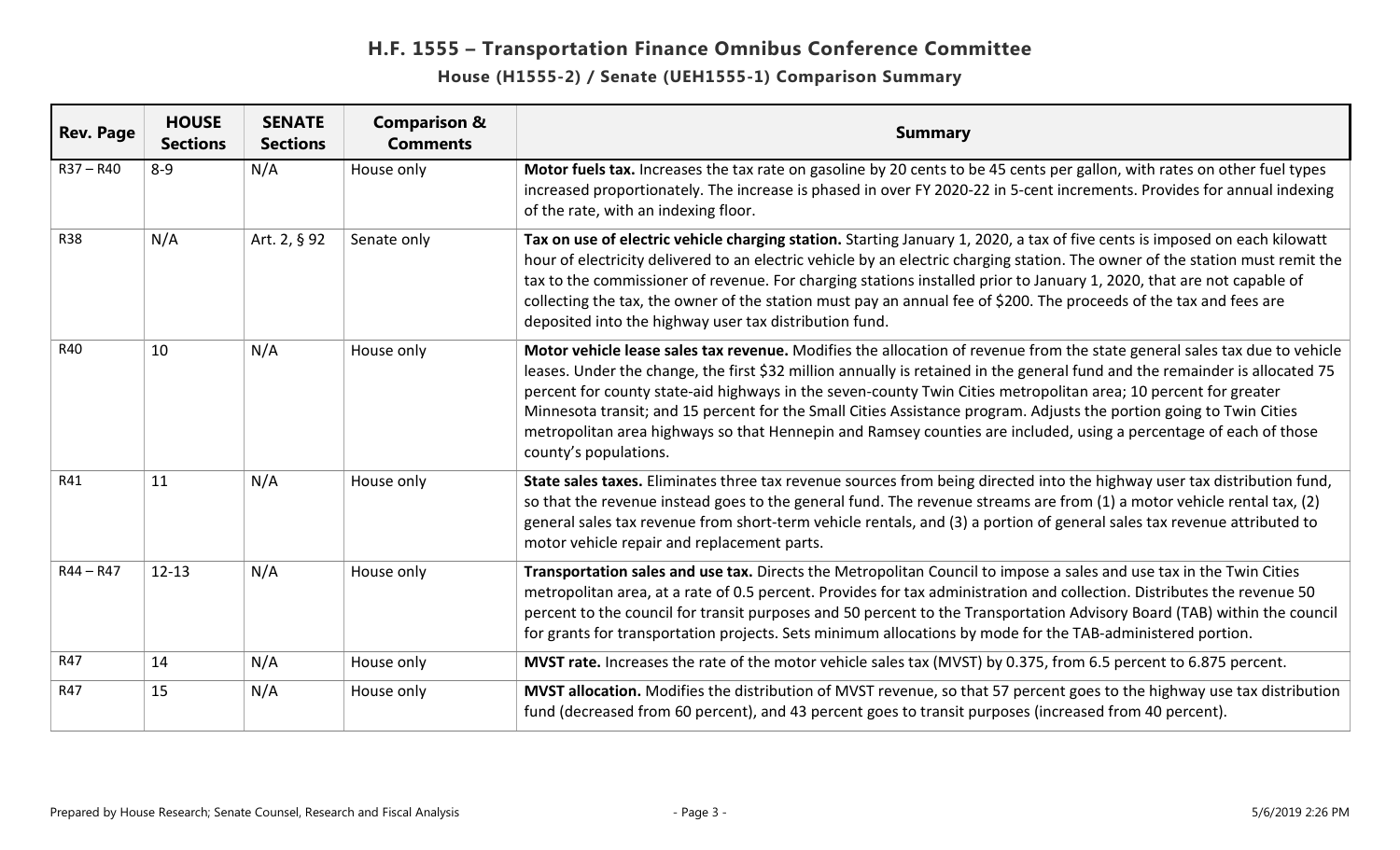| <b>Rev. Page</b> | <b>HOUSE</b><br><b>Sections</b> | <b>SENATE</b><br><b>Sections</b> | <b>Comparison &amp;</b><br><b>Comments</b> | <b>Summary</b>                                                                                                                                                                                                                                                                                                                                                                                                                                                                                                                                                                                                                                   |
|------------------|---------------------------------|----------------------------------|--------------------------------------------|--------------------------------------------------------------------------------------------------------------------------------------------------------------------------------------------------------------------------------------------------------------------------------------------------------------------------------------------------------------------------------------------------------------------------------------------------------------------------------------------------------------------------------------------------------------------------------------------------------------------------------------------------|
| $R37 - R40$      | $8 - 9$                         | N/A                              | House only                                 | Motor fuels tax. Increases the tax rate on gasoline by 20 cents to be 45 cents per gallon, with rates on other fuel types<br>increased proportionately. The increase is phased in over FY 2020-22 in 5-cent increments. Provides for annual indexing<br>of the rate, with an indexing floor.                                                                                                                                                                                                                                                                                                                                                     |
| <b>R38</b>       | N/A                             | Art. 2, § 92                     | Senate only                                | Tax on use of electric vehicle charging station. Starting January 1, 2020, a tax of five cents is imposed on each kilowatt<br>hour of electricity delivered to an electric vehicle by an electric charging station. The owner of the station must remit the<br>tax to the commissioner of revenue. For charging stations installed prior to January 1, 2020, that are not capable of<br>collecting the tax, the owner of the station must pay an annual fee of \$200. The proceeds of the tax and fees are<br>deposited into the highway user tax distribution fund.                                                                             |
| <b>R40</b>       | 10                              | N/A                              | House only                                 | Motor vehicle lease sales tax revenue. Modifies the allocation of revenue from the state general sales tax due to vehicle<br>leases. Under the change, the first \$32 million annually is retained in the general fund and the remainder is allocated 75<br>percent for county state-aid highways in the seven-county Twin Cities metropolitan area; 10 percent for greater<br>Minnesota transit; and 15 percent for the Small Cities Assistance program. Adjusts the portion going to Twin Cities<br>metropolitan area highways so that Hennepin and Ramsey counties are included, using a percentage of each of those<br>county's populations. |
| R41              | 11                              | N/A                              | House only                                 | State sales taxes. Eliminates three tax revenue sources from being directed into the highway user tax distribution fund,<br>so that the revenue instead goes to the general fund. The revenue streams are from (1) a motor vehicle rental tax, (2)<br>general sales tax revenue from short-term vehicle rentals, and (3) a portion of general sales tax revenue attributed to<br>motor vehicle repair and replacement parts.                                                                                                                                                                                                                     |
| $R44 - R47$      | $12 - 13$                       | N/A                              | House only                                 | Transportation sales and use tax. Directs the Metropolitan Council to impose a sales and use tax in the Twin Cities<br>metropolitan area, at a rate of 0.5 percent. Provides for tax administration and collection. Distributes the revenue 50<br>percent to the council for transit purposes and 50 percent to the Transportation Advisory Board (TAB) within the council<br>for grants for transportation projects. Sets minimum allocations by mode for the TAB-administered portion.                                                                                                                                                         |
| R47              | 14                              | N/A                              | House only                                 | MVST rate. Increases the rate of the motor vehicle sales tax (MVST) by 0.375, from 6.5 percent to 6.875 percent.                                                                                                                                                                                                                                                                                                                                                                                                                                                                                                                                 |
| R47              | 15                              | N/A                              | House only                                 | MVST allocation. Modifies the distribution of MVST revenue, so that 57 percent goes to the highway use tax distribution<br>fund (decreased from 60 percent), and 43 percent goes to transit purposes (increased from 40 percent).                                                                                                                                                                                                                                                                                                                                                                                                                |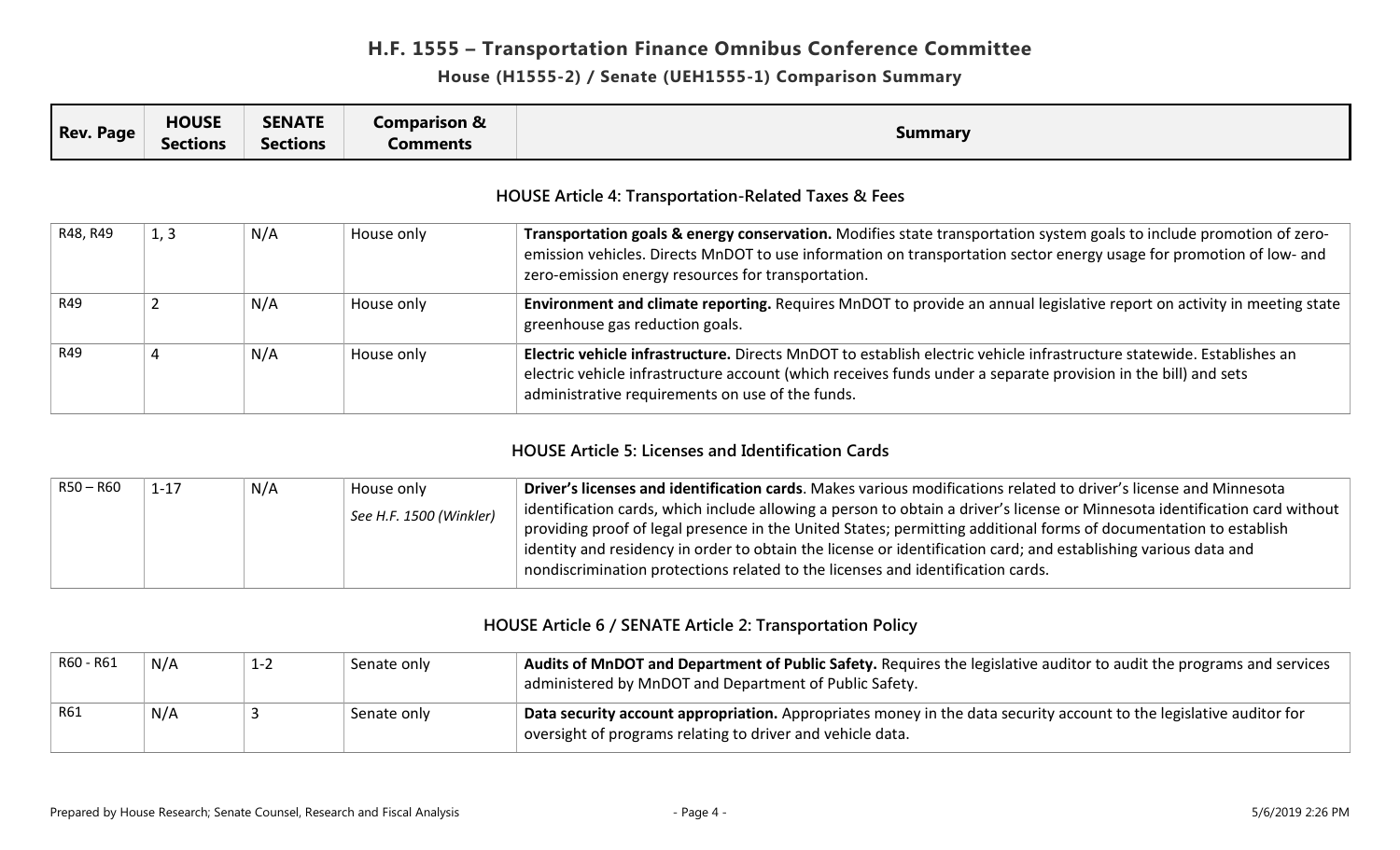#### **House (H1555-2) / Senate (UEH1555-1) Comparison Summary**

| <b>Rev. Page</b> | <b>HOUSE</b><br><b>Sections</b> | <b>SENATE</b><br><b>Sections</b> | <b>Comparison &amp;</b><br><b>Comments</b> | <b>Summary</b>                                                                                                                                                                                                                                                                                    |
|------------------|---------------------------------|----------------------------------|--------------------------------------------|---------------------------------------------------------------------------------------------------------------------------------------------------------------------------------------------------------------------------------------------------------------------------------------------------|
|                  |                                 |                                  |                                            | <b>HOUSE Article 4: Transportation-Related Taxes &amp; Fees</b>                                                                                                                                                                                                                                   |
| R48, R49         | 1, 3                            | N/A                              | House only                                 | Transportation goals & energy conservation. Modifies state transportation system goals to include promotion of zero-<br>emission vehicles. Directs MnDOT to use information on transportation sector energy usage for promotion of low- and<br>zero-emission energy resources for transportation. |
| R49              |                                 | N/A                              | House only                                 | Environment and climate reporting. Requires MnDOT to provide an annual legislative report on activity in meeting state<br>greenhouse gas reduction goals.                                                                                                                                         |
| R49              | 4                               | N/A                              | House only                                 | Electric vehicle infrastructure. Directs MnDOT to establish electric vehicle infrastructure statewide. Establishes an<br>electric vehicle infrastructure account (which receives funds under a separate provision in the bill) and sets<br>administrative requirements on use of the funds.       |

### **HOUSE Article 5: Licenses and Identification Cards**

| $R50 - R60$ | $1 - 17$ | N/A | House only              | Driver's licenses and identification cards. Makes various modifications related to driver's license and Minnesota                           |
|-------------|----------|-----|-------------------------|---------------------------------------------------------------------------------------------------------------------------------------------|
|             |          |     | See H.F. 1500 (Winkler) | $\vert$ identification cards, which include allowing a person to obtain a driver's license or Minnesota identification card without $\vert$ |
|             |          |     |                         | providing proof of legal presence in the United States; permitting additional forms of documentation to establish                           |
|             |          |     |                         | identity and residency in order to obtain the license or identification card; and establishing various data and                             |
|             |          |     |                         | nondiscrimination protections related to the licenses and identification cards.                                                             |

#### **HOUSE Article 6 / SENATE Article 2: Transportation Policy**

| R60 - R61 | N/A | $1 - 2$ | Senate only | Audits of MnDOT and Department of Public Safety. Requires the legislative auditor to audit the programs and services<br>administered by MnDOT and Department of Public Safety.    |
|-----------|-----|---------|-------------|-----------------------------------------------------------------------------------------------------------------------------------------------------------------------------------|
| R61       | N/A |         | Senate only | Data security account appropriation. Appropriates money in the data security account to the legislative auditor for<br>oversight of programs relating to driver and vehicle data. |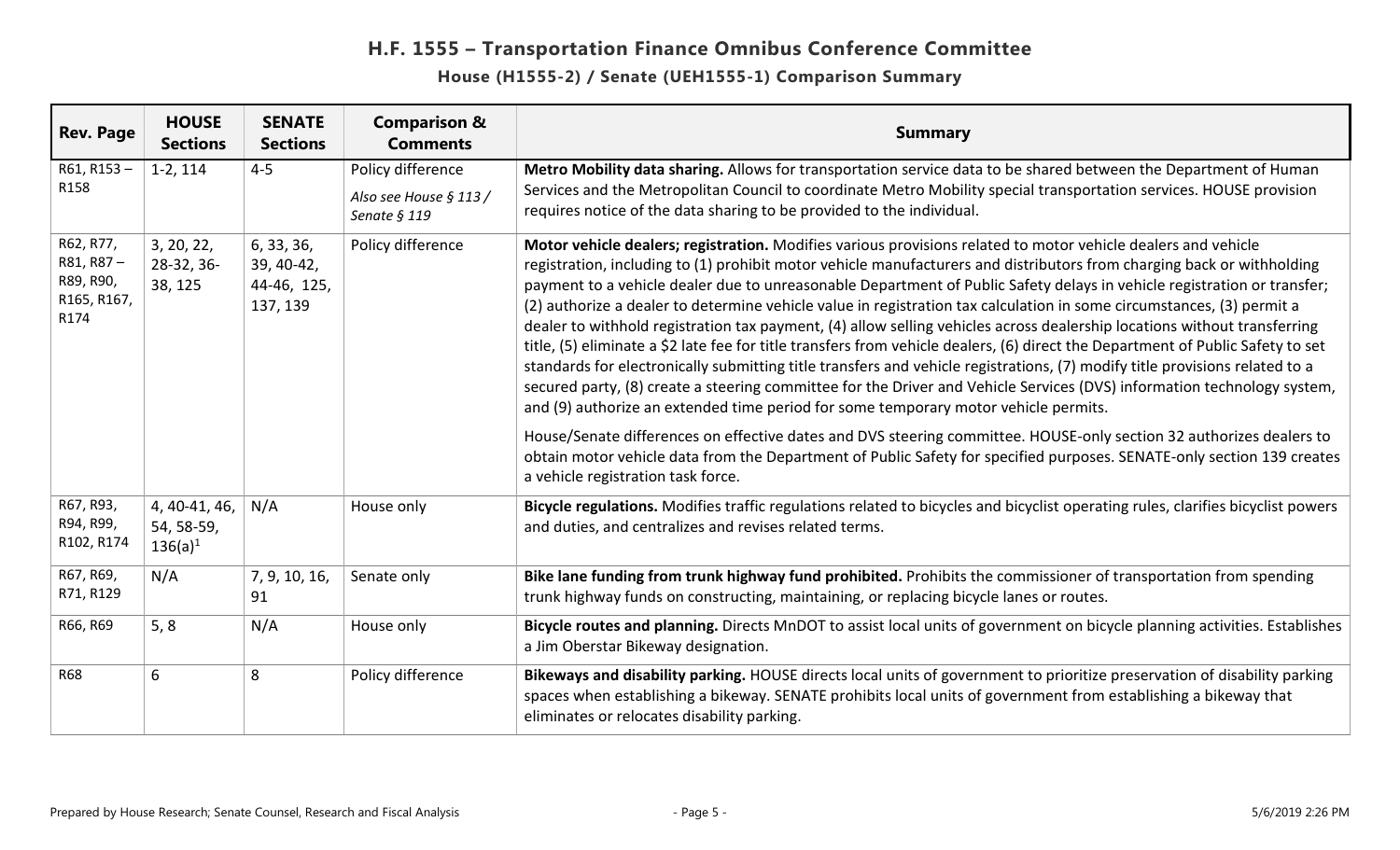| <b>Rev. Page</b>                                           | <b>HOUSE</b><br><b>Sections</b>           | <b>SENATE</b><br><b>Sections</b>                    | <b>Comparison &amp;</b><br><b>Comments</b> | <b>Summary</b>                                                                                                                                                                                                                                                                                                                                                                                                                                                                                                                                                                                                                                                                                                                                                                                                                                                                                                                                                                                                                                                                                                                                                                                                                                                                                                                                               |
|------------------------------------------------------------|-------------------------------------------|-----------------------------------------------------|--------------------------------------------|--------------------------------------------------------------------------------------------------------------------------------------------------------------------------------------------------------------------------------------------------------------------------------------------------------------------------------------------------------------------------------------------------------------------------------------------------------------------------------------------------------------------------------------------------------------------------------------------------------------------------------------------------------------------------------------------------------------------------------------------------------------------------------------------------------------------------------------------------------------------------------------------------------------------------------------------------------------------------------------------------------------------------------------------------------------------------------------------------------------------------------------------------------------------------------------------------------------------------------------------------------------------------------------------------------------------------------------------------------------|
| $R61, R153 -$<br>R158                                      | $1-2, 114$                                | $4 - 5$                                             | Policy difference                          | Metro Mobility data sharing. Allows for transportation service data to be shared between the Department of Human                                                                                                                                                                                                                                                                                                                                                                                                                                                                                                                                                                                                                                                                                                                                                                                                                                                                                                                                                                                                                                                                                                                                                                                                                                             |
|                                                            |                                           |                                                     | Also see House § 113/<br>Senate § 119      | Services and the Metropolitan Council to coordinate Metro Mobility special transportation services. HOUSE provision<br>requires notice of the data sharing to be provided to the individual.                                                                                                                                                                                                                                                                                                                                                                                                                                                                                                                                                                                                                                                                                                                                                                                                                                                                                                                                                                                                                                                                                                                                                                 |
| R62, R77,<br>R81, R87-<br>R89, R90,<br>R165, R167,<br>R174 | 3, 20, 22,<br>28-32, 36-<br>38, 125       | 6, 33, 36,<br>39, 40-42,<br>44-46, 125,<br>137, 139 | Policy difference                          | Motor vehicle dealers; registration. Modifies various provisions related to motor vehicle dealers and vehicle<br>registration, including to (1) prohibit motor vehicle manufacturers and distributors from charging back or withholding<br>payment to a vehicle dealer due to unreasonable Department of Public Safety delays in vehicle registration or transfer;<br>(2) authorize a dealer to determine vehicle value in registration tax calculation in some circumstances, (3) permit a<br>dealer to withhold registration tax payment, (4) allow selling vehicles across dealership locations without transferring<br>title, (5) eliminate a \$2 late fee for title transfers from vehicle dealers, (6) direct the Department of Public Safety to set<br>standards for electronically submitting title transfers and vehicle registrations, (7) modify title provisions related to a<br>secured party, (8) create a steering committee for the Driver and Vehicle Services (DVS) information technology system,<br>and (9) authorize an extended time period for some temporary motor vehicle permits.<br>House/Senate differences on effective dates and DVS steering committee. HOUSE-only section 32 authorizes dealers to<br>obtain motor vehicle data from the Department of Public Safety for specified purposes. SENATE-only section 139 creates |
|                                                            |                                           |                                                     |                                            | a vehicle registration task force.                                                                                                                                                                                                                                                                                                                                                                                                                                                                                                                                                                                                                                                                                                                                                                                                                                                                                                                                                                                                                                                                                                                                                                                                                                                                                                                           |
| R67, R93,<br>R94, R99,<br>R102, R174                       | 4, 40-41, 46,<br>54, 58-59,<br>$136(a)^1$ | N/A                                                 | House only                                 | Bicycle regulations. Modifies traffic regulations related to bicycles and bicyclist operating rules, clarifies bicyclist powers<br>and duties, and centralizes and revises related terms.                                                                                                                                                                                                                                                                                                                                                                                                                                                                                                                                                                                                                                                                                                                                                                                                                                                                                                                                                                                                                                                                                                                                                                    |
| R67, R69,<br>R71, R129                                     | N/A                                       | 7, 9, 10, 16,<br>91                                 | Senate only                                | Bike lane funding from trunk highway fund prohibited. Prohibits the commissioner of transportation from spending<br>trunk highway funds on constructing, maintaining, or replacing bicycle lanes or routes.                                                                                                                                                                                                                                                                                                                                                                                                                                                                                                                                                                                                                                                                                                                                                                                                                                                                                                                                                                                                                                                                                                                                                  |
| R66, R69                                                   | 5, 8                                      | N/A                                                 | House only                                 | Bicycle routes and planning. Directs MnDOT to assist local units of government on bicycle planning activities. Establishes<br>a Jim Oberstar Bikeway designation.                                                                                                                                                                                                                                                                                                                                                                                                                                                                                                                                                                                                                                                                                                                                                                                                                                                                                                                                                                                                                                                                                                                                                                                            |
| <b>R68</b>                                                 | 6                                         | 8                                                   | Policy difference                          | Bikeways and disability parking. HOUSE directs local units of government to prioritize preservation of disability parking<br>spaces when establishing a bikeway. SENATE prohibits local units of government from establishing a bikeway that<br>eliminates or relocates disability parking.                                                                                                                                                                                                                                                                                                                                                                                                                                                                                                                                                                                                                                                                                                                                                                                                                                                                                                                                                                                                                                                                  |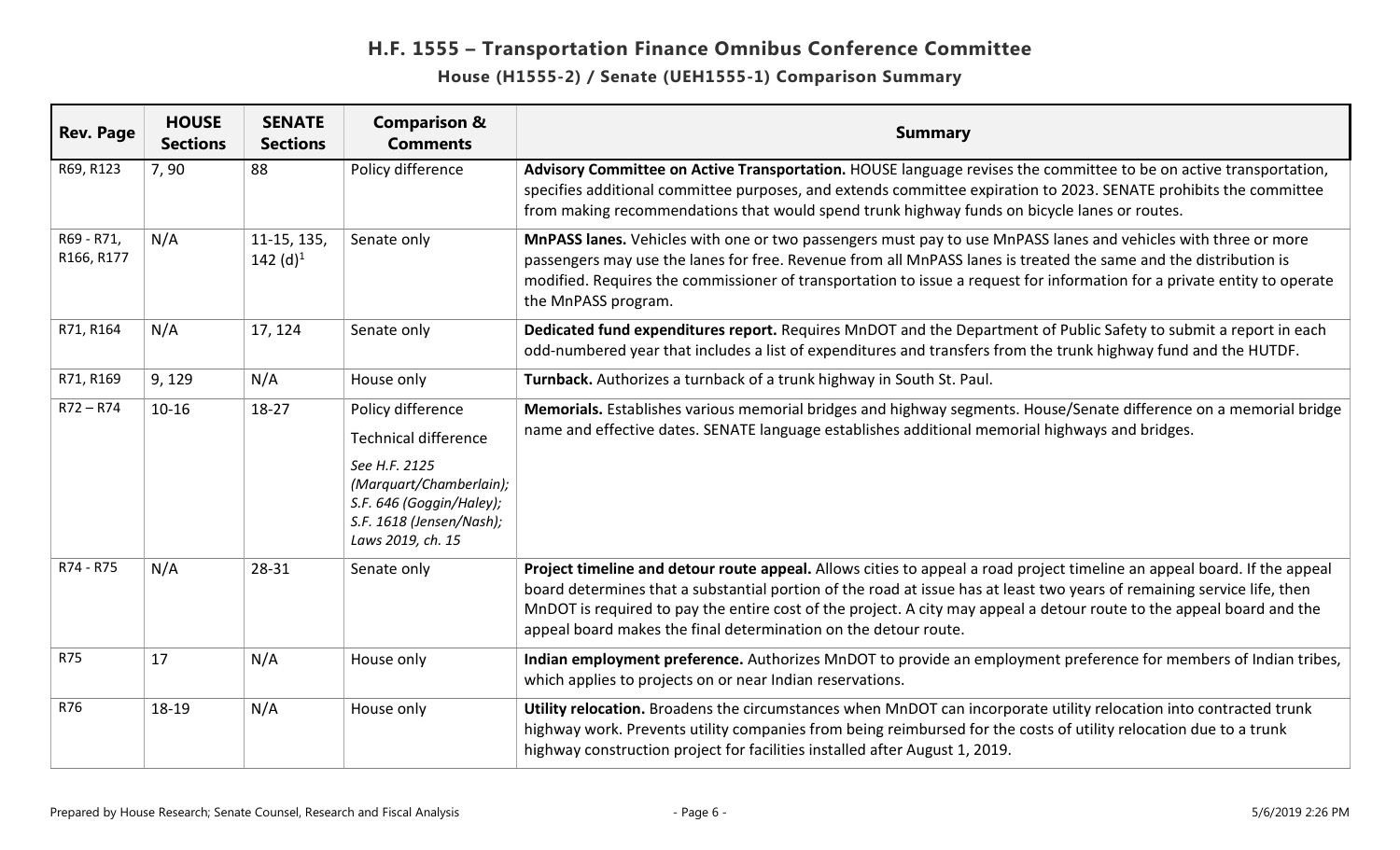| <b>Rev. Page</b>         | <b>HOUSE</b><br><b>Sections</b> | <b>SENATE</b><br><b>Sections</b> | <b>Comparison &amp;</b><br><b>Comments</b>                                                                                                                                | <b>Summary</b>                                                                                                                                                                                                                                                                                                                                                                                                                                  |
|--------------------------|---------------------------------|----------------------------------|---------------------------------------------------------------------------------------------------------------------------------------------------------------------------|-------------------------------------------------------------------------------------------------------------------------------------------------------------------------------------------------------------------------------------------------------------------------------------------------------------------------------------------------------------------------------------------------------------------------------------------------|
| R69, R123                | 7,90                            | 88                               | Policy difference                                                                                                                                                         | Advisory Committee on Active Transportation. HOUSE language revises the committee to be on active transportation,<br>specifies additional committee purposes, and extends committee expiration to 2023. SENATE prohibits the committee<br>from making recommendations that would spend trunk highway funds on bicycle lanes or routes.                                                                                                          |
| R69 - R71,<br>R166, R177 | N/A                             | 11-15, 135,<br>142 $(d)^1$       | Senate only                                                                                                                                                               | MnPASS lanes. Vehicles with one or two passengers must pay to use MnPASS lanes and vehicles with three or more<br>passengers may use the lanes for free. Revenue from all MnPASS lanes is treated the same and the distribution is<br>modified. Requires the commissioner of transportation to issue a request for information for a private entity to operate<br>the MnPASS program.                                                           |
| R71, R164                | N/A                             | 17, 124                          | Senate only                                                                                                                                                               | Dedicated fund expenditures report. Requires MnDOT and the Department of Public Safety to submit a report in each<br>odd-numbered year that includes a list of expenditures and transfers from the trunk highway fund and the HUTDF.                                                                                                                                                                                                            |
| R71, R169                | 9, 129                          | N/A                              | House only                                                                                                                                                                | Turnback. Authorizes a turnback of a trunk highway in South St. Paul.                                                                                                                                                                                                                                                                                                                                                                           |
| $R72 - R74$              | $10 - 16$                       | $18 - 27$                        | Policy difference<br><b>Technical difference</b><br>See H.F. 2125<br>(Marquart/Chamberlain);<br>S.F. 646 (Goggin/Haley);<br>S.F. 1618 (Jensen/Nash);<br>Laws 2019, ch. 15 | Memorials. Establishes various memorial bridges and highway segments. House/Senate difference on a memorial bridge<br>name and effective dates. SENATE language establishes additional memorial highways and bridges.                                                                                                                                                                                                                           |
| R74 - R75                | N/A                             | 28-31                            | Senate only                                                                                                                                                               | Project timeline and detour route appeal. Allows cities to appeal a road project timeline an appeal board. If the appeal<br>board determines that a substantial portion of the road at issue has at least two years of remaining service life, then<br>MnDOT is required to pay the entire cost of the project. A city may appeal a detour route to the appeal board and the<br>appeal board makes the final determination on the detour route. |
| <b>R75</b>               | 17                              | N/A                              | House only                                                                                                                                                                | Indian employment preference. Authorizes MnDOT to provide an employment preference for members of Indian tribes,<br>which applies to projects on or near Indian reservations.                                                                                                                                                                                                                                                                   |
| R76                      | 18-19                           | N/A                              | House only                                                                                                                                                                | Utility relocation. Broadens the circumstances when MnDOT can incorporate utility relocation into contracted trunk<br>highway work. Prevents utility companies from being reimbursed for the costs of utility relocation due to a trunk<br>highway construction project for facilities installed after August 1, 2019.                                                                                                                          |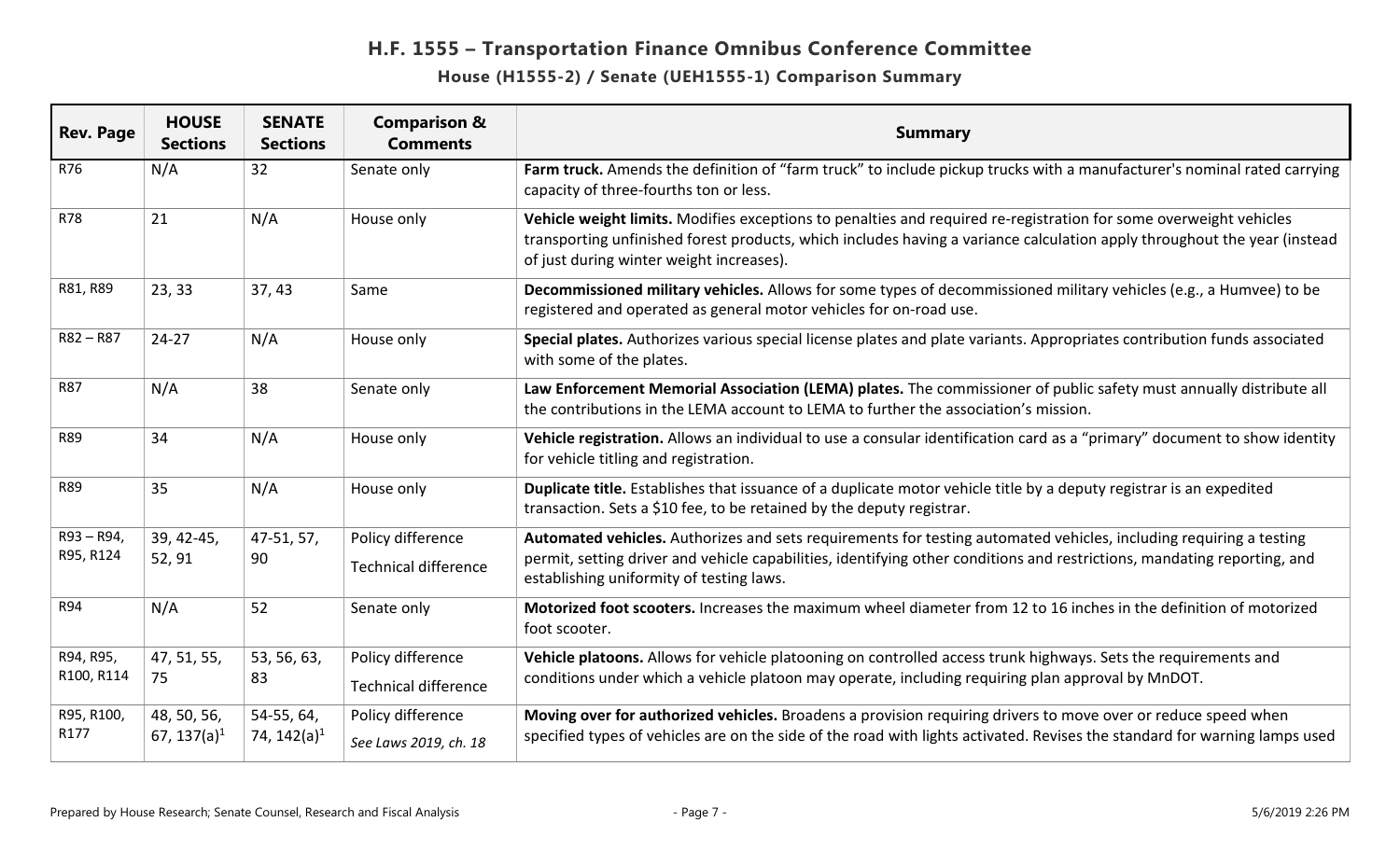| <b>Rev. Page</b>          | <b>HOUSE</b><br><b>Sections</b>        | <b>SENATE</b><br><b>Sections</b>      | <b>Comparison &amp;</b><br><b>Comments</b>       | <b>Summary</b>                                                                                                                                                                                                                                                                             |
|---------------------------|----------------------------------------|---------------------------------------|--------------------------------------------------|--------------------------------------------------------------------------------------------------------------------------------------------------------------------------------------------------------------------------------------------------------------------------------------------|
| R76                       | N/A                                    | 32                                    | Senate only                                      | Farm truck. Amends the definition of "farm truck" to include pickup trucks with a manufacturer's nominal rated carrying<br>capacity of three-fourths ton or less.                                                                                                                          |
| R78                       | 21                                     | N/A                                   | House only                                       | Vehicle weight limits. Modifies exceptions to penalties and required re-registration for some overweight vehicles<br>transporting unfinished forest products, which includes having a variance calculation apply throughout the year (instead<br>of just during winter weight increases).  |
| R81, R89                  | 23, 33                                 | 37,43                                 | Same                                             | Decommissioned military vehicles. Allows for some types of decommissioned military vehicles (e.g., a Humvee) to be<br>registered and operated as general motor vehicles for on-road use.                                                                                                   |
| $R82 - R87$               | $24 - 27$                              | N/A                                   | House only                                       | Special plates. Authorizes various special license plates and plate variants. Appropriates contribution funds associated<br>with some of the plates.                                                                                                                                       |
| <b>R87</b>                | N/A                                    | 38                                    | Senate only                                      | Law Enforcement Memorial Association (LEMA) plates. The commissioner of public safety must annually distribute all<br>the contributions in the LEMA account to LEMA to further the association's mission.                                                                                  |
| <b>R89</b>                | 34                                     | N/A                                   | House only                                       | Vehicle registration. Allows an individual to use a consular identification card as a "primary" document to show identity<br>for vehicle titling and registration.                                                                                                                         |
| <b>R89</b>                | 35                                     | N/A                                   | House only                                       | Duplicate title. Establishes that issuance of a duplicate motor vehicle title by a deputy registrar is an expedited<br>transaction. Sets a \$10 fee, to be retained by the deputy registrar.                                                                                               |
| $R93 - R94,$<br>R95, R124 | 39, 42-45,<br>52, 91                   | 47-51, 57,<br>90                      | Policy difference<br><b>Technical difference</b> | Automated vehicles. Authorizes and sets requirements for testing automated vehicles, including requiring a testing<br>permit, setting driver and vehicle capabilities, identifying other conditions and restrictions, mandating reporting, and<br>establishing uniformity of testing laws. |
| <b>R94</b>                | N/A                                    | 52                                    | Senate only                                      | Motorized foot scooters. Increases the maximum wheel diameter from 12 to 16 inches in the definition of motorized<br>foot scooter.                                                                                                                                                         |
| R94, R95,<br>R100, R114   | 47, 51, 55,<br>75                      | 53, 56, 63,<br>83                     | Policy difference<br><b>Technical difference</b> | Vehicle platoons. Allows for vehicle platooning on controlled access trunk highways. Sets the requirements and<br>conditions under which a vehicle platoon may operate, including requiring plan approval by MnDOT.                                                                        |
| R95, R100,<br>R177        | 48, 50, 56,<br>67, 137(a) <sup>1</sup> | 54-55, 64,<br>74, 142(a) <sup>1</sup> | Policy difference<br>See Laws 2019, ch. 18       | Moving over for authorized vehicles. Broadens a provision requiring drivers to move over or reduce speed when<br>specified types of vehicles are on the side of the road with lights activated. Revises the standard for warning lamps used                                                |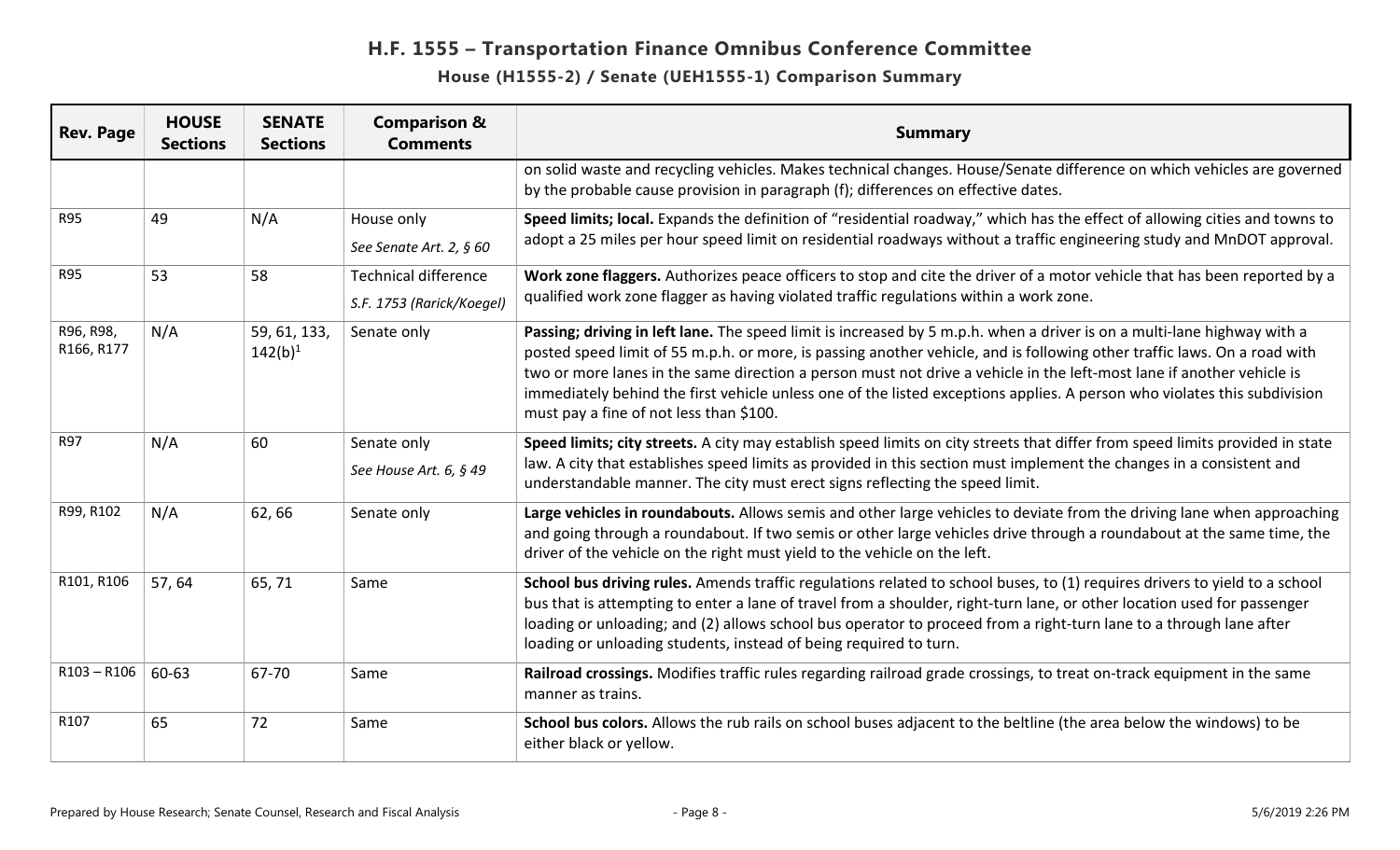| <b>Rev. Page</b>        | <b>HOUSE</b><br><b>Sections</b> | <b>SENATE</b><br><b>Sections</b> | <b>Comparison &amp;</b><br><b>Comments</b>               | <b>Summary</b>                                                                                                                                                                                                                                                                                                                                                                                                                                                                                                                                      |
|-------------------------|---------------------------------|----------------------------------|----------------------------------------------------------|-----------------------------------------------------------------------------------------------------------------------------------------------------------------------------------------------------------------------------------------------------------------------------------------------------------------------------------------------------------------------------------------------------------------------------------------------------------------------------------------------------------------------------------------------------|
|                         |                                 |                                  |                                                          | on solid waste and recycling vehicles. Makes technical changes. House/Senate difference on which vehicles are governed<br>by the probable cause provision in paragraph (f); differences on effective dates.                                                                                                                                                                                                                                                                                                                                         |
| <b>R95</b>              | 49                              | N/A                              | House only<br>See Senate Art. 2, § 60                    | Speed limits; local. Expands the definition of "residential roadway," which has the effect of allowing cities and towns to<br>adopt a 25 miles per hour speed limit on residential roadways without a traffic engineering study and MnDOT approval.                                                                                                                                                                                                                                                                                                 |
| <b>R95</b>              | 53                              | 58                               | <b>Technical difference</b><br>S.F. 1753 (Rarick/Koegel) | Work zone flaggers. Authorizes peace officers to stop and cite the driver of a motor vehicle that has been reported by a<br>qualified work zone flagger as having violated traffic regulations within a work zone.                                                                                                                                                                                                                                                                                                                                  |
| R96, R98,<br>R166, R177 | N/A                             | 59, 61, 133,<br>$142(b)^1$       | Senate only                                              | Passing; driving in left lane. The speed limit is increased by 5 m.p.h. when a driver is on a multi-lane highway with a<br>posted speed limit of 55 m.p.h. or more, is passing another vehicle, and is following other traffic laws. On a road with<br>two or more lanes in the same direction a person must not drive a vehicle in the left-most lane if another vehicle is<br>immediately behind the first vehicle unless one of the listed exceptions applies. A person who violates this subdivision<br>must pay a fine of not less than \$100. |
| <b>R97</b>              | N/A                             | 60                               | Senate only<br>See House Art. 6, § 49                    | Speed limits; city streets. A city may establish speed limits on city streets that differ from speed limits provided in state<br>law. A city that establishes speed limits as provided in this section must implement the changes in a consistent and<br>understandable manner. The city must erect signs reflecting the speed limit.                                                                                                                                                                                                               |
| R99, R102               | N/A                             | 62,66                            | Senate only                                              | Large vehicles in roundabouts. Allows semis and other large vehicles to deviate from the driving lane when approaching<br>and going through a roundabout. If two semis or other large vehicles drive through a roundabout at the same time, the<br>driver of the vehicle on the right must yield to the vehicle on the left.                                                                                                                                                                                                                        |
| R101, R106              | 57,64                           | 65,71                            | Same                                                     | School bus driving rules. Amends traffic regulations related to school buses, to (1) requires drivers to yield to a school<br>bus that is attempting to enter a lane of travel from a shoulder, right-turn lane, or other location used for passenger<br>loading or unloading; and (2) allows school bus operator to proceed from a right-turn lane to a through lane after<br>loading or unloading students, instead of being required to turn.                                                                                                    |
| $R103 - R106$           | 60-63                           | 67-70                            | Same                                                     | Railroad crossings. Modifies traffic rules regarding railroad grade crossings, to treat on-track equipment in the same<br>manner as trains.                                                                                                                                                                                                                                                                                                                                                                                                         |
| R107                    | 65                              | 72                               | Same                                                     | School bus colors. Allows the rub rails on school buses adjacent to the beltline (the area below the windows) to be<br>either black or yellow.                                                                                                                                                                                                                                                                                                                                                                                                      |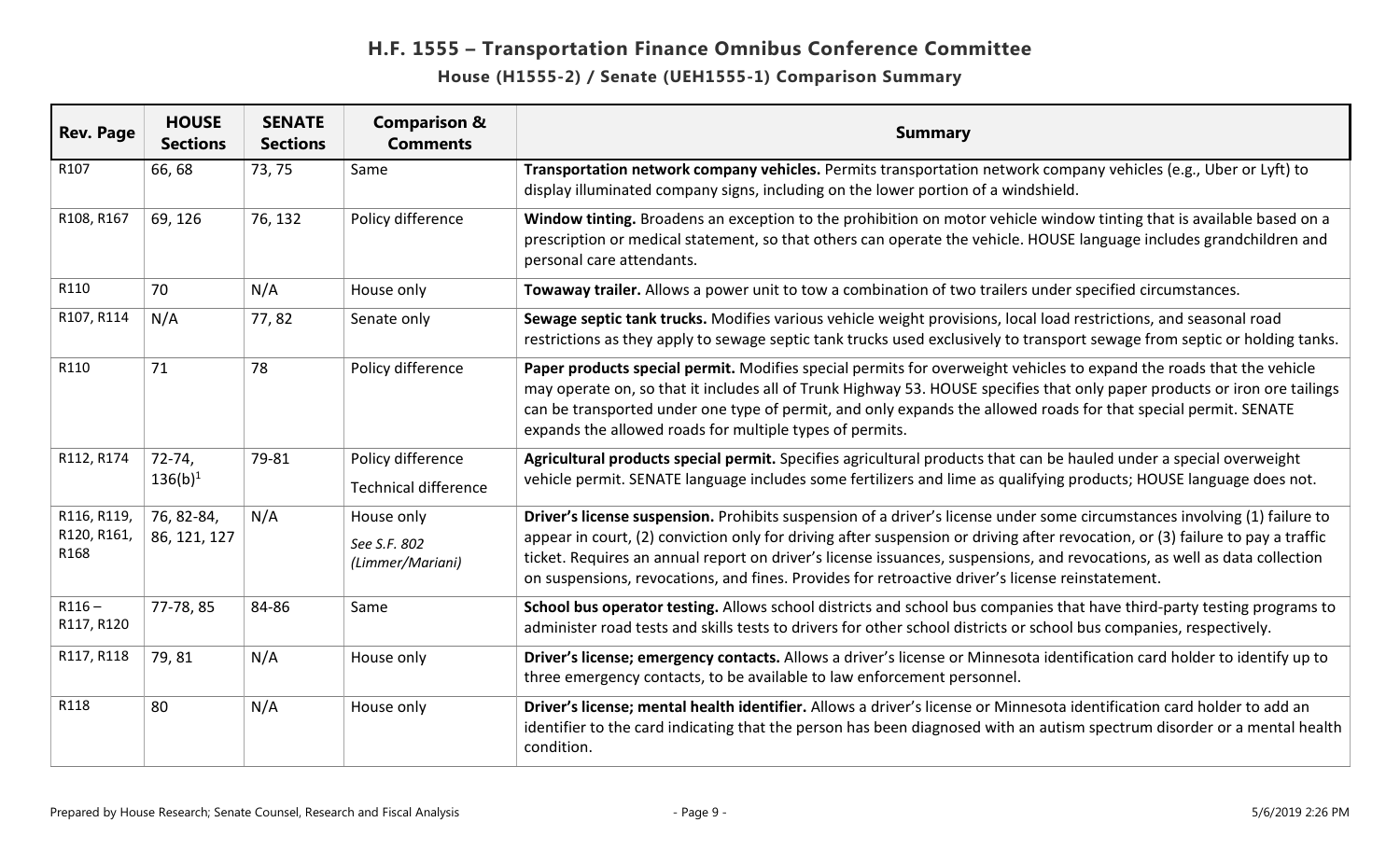| <b>Rev. Page</b>       | <b>HOUSE</b><br><b>Sections</b> | <b>SENATE</b><br><b>Sections</b> | <b>Comparison &amp;</b><br><b>Comments</b> | <b>Summary</b>                                                                                                                                                                                                                                                                                                                                                                                                                    |
|------------------------|---------------------------------|----------------------------------|--------------------------------------------|-----------------------------------------------------------------------------------------------------------------------------------------------------------------------------------------------------------------------------------------------------------------------------------------------------------------------------------------------------------------------------------------------------------------------------------|
| R107                   | 66,68                           | 73, 75                           | Same                                       | Transportation network company vehicles. Permits transportation network company vehicles (e.g., Uber or Lyft) to<br>display illuminated company signs, including on the lower portion of a windshield.                                                                                                                                                                                                                            |
| R108, R167             | 69, 126                         | 76, 132                          | Policy difference                          | Window tinting. Broadens an exception to the prohibition on motor vehicle window tinting that is available based on a<br>prescription or medical statement, so that others can operate the vehicle. HOUSE language includes grandchildren and<br>personal care attendants.                                                                                                                                                        |
| R110                   | 70                              | N/A                              | House only                                 | Towaway trailer. Allows a power unit to tow a combination of two trailers under specified circumstances.                                                                                                                                                                                                                                                                                                                          |
| R107, R114             | N/A                             | 77,82                            | Senate only                                | Sewage septic tank trucks. Modifies various vehicle weight provisions, local load restrictions, and seasonal road<br>restrictions as they apply to sewage septic tank trucks used exclusively to transport sewage from septic or holding tanks.                                                                                                                                                                                   |
| R110                   | 71                              | 78                               | Policy difference                          | Paper products special permit. Modifies special permits for overweight vehicles to expand the roads that the vehicle<br>may operate on, so that it includes all of Trunk Highway 53. HOUSE specifies that only paper products or iron ore tailings<br>can be transported under one type of permit, and only expands the allowed roads for that special permit. SENATE<br>expands the allowed roads for multiple types of permits. |
| R112, R174             | $72 - 74,$                      | 79-81                            | Policy difference                          | Agricultural products special permit. Specifies agricultural products that can be hauled under a special overweight                                                                                                                                                                                                                                                                                                               |
|                        | $136(b)^1$                      |                                  | <b>Technical difference</b>                | vehicle permit. SENATE language includes some fertilizers and lime as qualifying products; HOUSE language does not.                                                                                                                                                                                                                                                                                                               |
| R116, R119,            | 76, 82-84,                      | N/A                              | House only                                 | Driver's license suspension. Prohibits suspension of a driver's license under some circumstances involving (1) failure to                                                                                                                                                                                                                                                                                                         |
| R120, R161,<br>R168    | 86, 121, 127                    |                                  | See S.F. 802<br>(Limmer/Mariani)           | appear in court, (2) conviction only for driving after suspension or driving after revocation, or (3) failure to pay a traffic<br>ticket. Requires an annual report on driver's license issuances, suspensions, and revocations, as well as data collection<br>on suspensions, revocations, and fines. Provides for retroactive driver's license reinstatement.                                                                   |
| $R116 -$<br>R117, R120 | 77-78,85                        | 84-86                            | Same                                       | School bus operator testing. Allows school districts and school bus companies that have third-party testing programs to<br>administer road tests and skills tests to drivers for other school districts or school bus companies, respectively.                                                                                                                                                                                    |
| R117, R118             | 79,81                           | N/A                              | House only                                 | Driver's license; emergency contacts. Allows a driver's license or Minnesota identification card holder to identify up to<br>three emergency contacts, to be available to law enforcement personnel.                                                                                                                                                                                                                              |
| R118                   | 80                              | N/A                              | House only                                 | Driver's license; mental health identifier. Allows a driver's license or Minnesota identification card holder to add an<br>identifier to the card indicating that the person has been diagnosed with an autism spectrum disorder or a mental health<br>condition.                                                                                                                                                                 |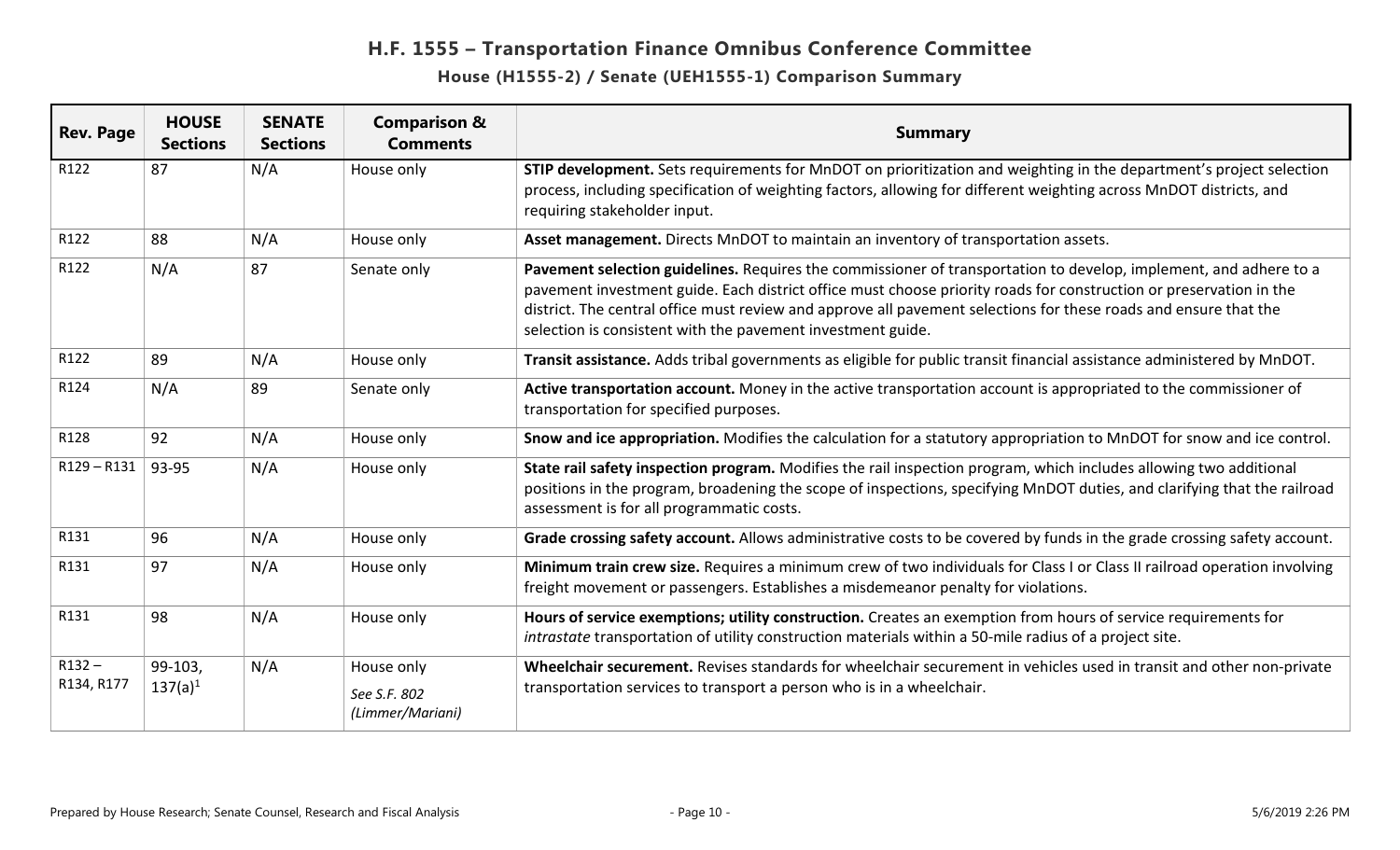| <b>Rev. Page</b>       | <b>HOUSE</b><br><b>Sections</b> | <b>SENATE</b><br><b>Sections</b> | <b>Comparison &amp;</b><br><b>Comments</b>     | <b>Summary</b>                                                                                                                                                                                                                                                                                                                                                                                                             |
|------------------------|---------------------------------|----------------------------------|------------------------------------------------|----------------------------------------------------------------------------------------------------------------------------------------------------------------------------------------------------------------------------------------------------------------------------------------------------------------------------------------------------------------------------------------------------------------------------|
| R122                   | 87                              | N/A                              | House only                                     | STIP development. Sets requirements for MnDOT on prioritization and weighting in the department's project selection<br>process, including specification of weighting factors, allowing for different weighting across MnDOT districts, and<br>requiring stakeholder input.                                                                                                                                                 |
| R122                   | 88                              | N/A                              | House only                                     | Asset management. Directs MnDOT to maintain an inventory of transportation assets.                                                                                                                                                                                                                                                                                                                                         |
| R122                   | N/A                             | 87                               | Senate only                                    | Pavement selection guidelines. Requires the commissioner of transportation to develop, implement, and adhere to a<br>pavement investment guide. Each district office must choose priority roads for construction or preservation in the<br>district. The central office must review and approve all pavement selections for these roads and ensure that the<br>selection is consistent with the pavement investment guide. |
| R122                   | 89                              | N/A                              | House only                                     | Transit assistance. Adds tribal governments as eligible for public transit financial assistance administered by MnDOT.                                                                                                                                                                                                                                                                                                     |
| R124                   | N/A                             | 89                               | Senate only                                    | Active transportation account. Money in the active transportation account is appropriated to the commissioner of<br>transportation for specified purposes.                                                                                                                                                                                                                                                                 |
| R128                   | 92                              | N/A                              | House only                                     | Snow and ice appropriation. Modifies the calculation for a statutory appropriation to MnDOT for snow and ice control.                                                                                                                                                                                                                                                                                                      |
| $R129 - R131$          | $ 93-95$                        | N/A                              | House only                                     | State rail safety inspection program. Modifies the rail inspection program, which includes allowing two additional<br>positions in the program, broadening the scope of inspections, specifying MnDOT duties, and clarifying that the railroad<br>assessment is for all programmatic costs.                                                                                                                                |
| R131                   | 96                              | N/A                              | House only                                     | Grade crossing safety account. Allows administrative costs to be covered by funds in the grade crossing safety account.                                                                                                                                                                                                                                                                                                    |
| R131                   | 97                              | N/A                              | House only                                     | Minimum train crew size. Requires a minimum crew of two individuals for Class I or Class II railroad operation involving<br>freight movement or passengers. Establishes a misdemeanor penalty for violations.                                                                                                                                                                                                              |
| R131                   | 98                              | N/A                              | House only                                     | Hours of service exemptions; utility construction. Creates an exemption from hours of service requirements for<br>intrastate transportation of utility construction materials within a 50-mile radius of a project site.                                                                                                                                                                                                   |
| $R132 -$<br>R134, R177 | 99-103,<br>$137(a)^1$           | N/A                              | House only<br>See S.F. 802<br>(Limmer/Mariani) | Wheelchair securement. Revises standards for wheelchair securement in vehicles used in transit and other non-private<br>transportation services to transport a person who is in a wheelchair.                                                                                                                                                                                                                              |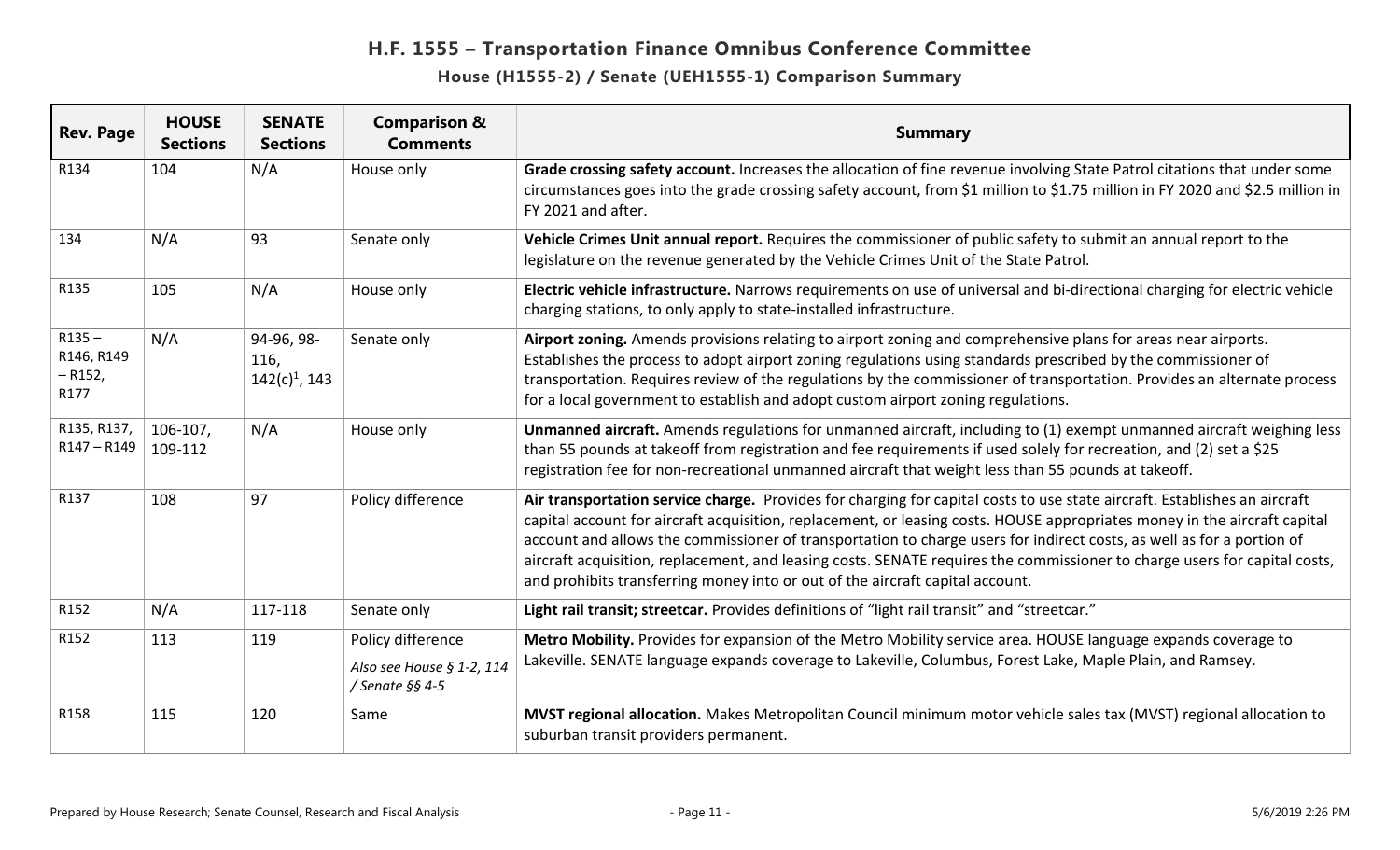| <b>Rev. Page</b>                            | <b>HOUSE</b><br><b>Sections</b> | <b>SENATE</b><br><b>Sections</b>       | <b>Comparison &amp;</b><br><b>Comments</b>                        | <b>Summary</b>                                                                                                                                                                                                                                                                                                                                                                                                                                                                                                                                                                                |
|---------------------------------------------|---------------------------------|----------------------------------------|-------------------------------------------------------------------|-----------------------------------------------------------------------------------------------------------------------------------------------------------------------------------------------------------------------------------------------------------------------------------------------------------------------------------------------------------------------------------------------------------------------------------------------------------------------------------------------------------------------------------------------------------------------------------------------|
| R134                                        | 104                             | N/A                                    | House only                                                        | Grade crossing safety account. Increases the allocation of fine revenue involving State Patrol citations that under some<br>circumstances goes into the grade crossing safety account, from \$1 million to \$1.75 million in FY 2020 and \$2.5 million in<br>FY 2021 and after.                                                                                                                                                                                                                                                                                                               |
| 134                                         | N/A                             | 93                                     | Senate only                                                       | Vehicle Crimes Unit annual report. Requires the commissioner of public safety to submit an annual report to the<br>legislature on the revenue generated by the Vehicle Crimes Unit of the State Patrol.                                                                                                                                                                                                                                                                                                                                                                                       |
| R135                                        | 105                             | N/A                                    | House only                                                        | Electric vehicle infrastructure. Narrows requirements on use of universal and bi-directional charging for electric vehicle<br>charging stations, to only apply to state-installed infrastructure.                                                                                                                                                                                                                                                                                                                                                                                             |
| $R135 -$<br>R146, R149<br>$-$ R152,<br>R177 | N/A                             | 94-96, 98-<br>116,<br>$142(c)^1$ , 143 | Senate only                                                       | Airport zoning. Amends provisions relating to airport zoning and comprehensive plans for areas near airports.<br>Establishes the process to adopt airport zoning regulations using standards prescribed by the commissioner of<br>transportation. Requires review of the regulations by the commissioner of transportation. Provides an alternate process<br>for a local government to establish and adopt custom airport zoning regulations.                                                                                                                                                 |
| R135, R137,<br>R147-R149                    | 106-107,<br>109-112             | N/A                                    | House only                                                        | Unmanned aircraft. Amends regulations for unmanned aircraft, including to (1) exempt unmanned aircraft weighing less<br>than 55 pounds at takeoff from registration and fee requirements if used solely for recreation, and (2) set a \$25<br>registration fee for non-recreational unmanned aircraft that weight less than 55 pounds at takeoff.                                                                                                                                                                                                                                             |
| R137                                        | 108                             | 97                                     | Policy difference                                                 | Air transportation service charge. Provides for charging for capital costs to use state aircraft. Establishes an aircraft<br>capital account for aircraft acquisition, replacement, or leasing costs. HOUSE appropriates money in the aircraft capital<br>account and allows the commissioner of transportation to charge users for indirect costs, as well as for a portion of<br>aircraft acquisition, replacement, and leasing costs. SENATE requires the commissioner to charge users for capital costs,<br>and prohibits transferring money into or out of the aircraft capital account. |
| R152                                        | N/A                             | 117-118                                | Senate only                                                       | Light rail transit; streetcar. Provides definitions of "light rail transit" and "streetcar."                                                                                                                                                                                                                                                                                                                                                                                                                                                                                                  |
| R152                                        | 113                             | 119                                    | Policy difference<br>Also see House § 1-2, 114<br>/ Senate §§ 4-5 | Metro Mobility. Provides for expansion of the Metro Mobility service area. HOUSE language expands coverage to<br>Lakeville. SENATE language expands coverage to Lakeville, Columbus, Forest Lake, Maple Plain, and Ramsey.                                                                                                                                                                                                                                                                                                                                                                    |
| R158                                        | 115                             | 120                                    | Same                                                              | MVST regional allocation. Makes Metropolitan Council minimum motor vehicle sales tax (MVST) regional allocation to<br>suburban transit providers permanent.                                                                                                                                                                                                                                                                                                                                                                                                                                   |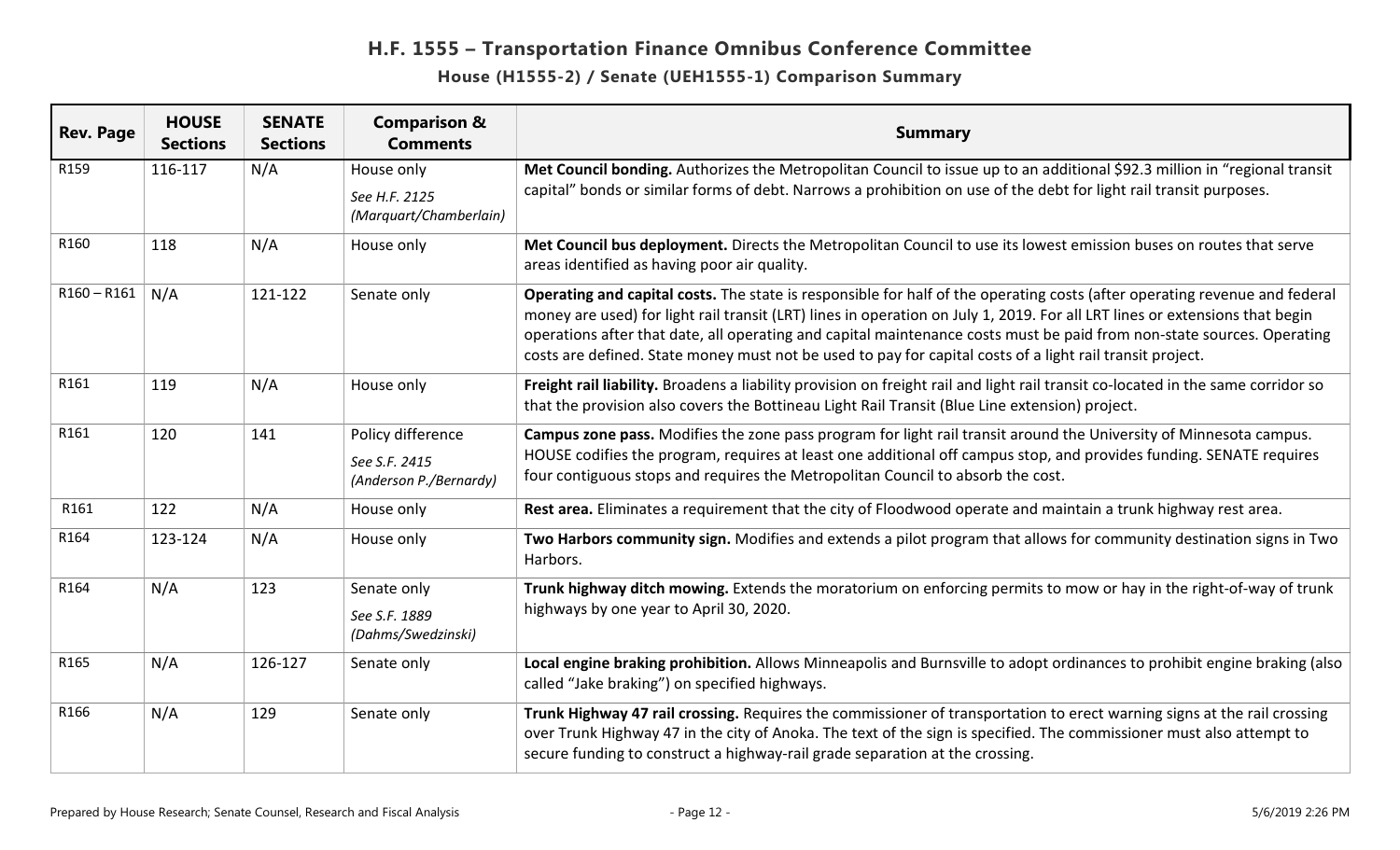| <b>Rev. Page</b> | <b>HOUSE</b><br><b>Sections</b> | <b>SENATE</b><br><b>Sections</b> | <b>Comparison &amp;</b><br><b>Comments</b>                   | <b>Summary</b>                                                                                                                                                                                                                                                                                                                                                                                                                                                                                   |
|------------------|---------------------------------|----------------------------------|--------------------------------------------------------------|--------------------------------------------------------------------------------------------------------------------------------------------------------------------------------------------------------------------------------------------------------------------------------------------------------------------------------------------------------------------------------------------------------------------------------------------------------------------------------------------------|
| R159             | 116-117                         | N/A                              | House only<br>See H.F. 2125<br>(Marquart/Chamberlain)        | Met Council bonding. Authorizes the Metropolitan Council to issue up to an additional \$92.3 million in "regional transit<br>capital" bonds or similar forms of debt. Narrows a prohibition on use of the debt for light rail transit purposes.                                                                                                                                                                                                                                                  |
| R160             | 118                             | N/A                              | House only                                                   | Met Council bus deployment. Directs the Metropolitan Council to use its lowest emission buses on routes that serve<br>areas identified as having poor air quality.                                                                                                                                                                                                                                                                                                                               |
| $R160 - R161$    | N/A                             | 121-122                          | Senate only                                                  | Operating and capital costs. The state is responsible for half of the operating costs (after operating revenue and federal<br>money are used) for light rail transit (LRT) lines in operation on July 1, 2019. For all LRT lines or extensions that begin<br>operations after that date, all operating and capital maintenance costs must be paid from non-state sources. Operating<br>costs are defined. State money must not be used to pay for capital costs of a light rail transit project. |
| R161             | 119                             | N/A                              | House only                                                   | Freight rail liability. Broadens a liability provision on freight rail and light rail transit co-located in the same corridor so<br>that the provision also covers the Bottineau Light Rail Transit (Blue Line extension) project.                                                                                                                                                                                                                                                               |
| R161             | 120                             | 141                              | Policy difference<br>See S.F. 2415<br>(Anderson P./Bernardy) | Campus zone pass. Modifies the zone pass program for light rail transit around the University of Minnesota campus.<br>HOUSE codifies the program, requires at least one additional off campus stop, and provides funding. SENATE requires<br>four contiguous stops and requires the Metropolitan Council to absorb the cost.                                                                                                                                                                     |
| R161             | 122                             | N/A                              | House only                                                   | Rest area. Eliminates a requirement that the city of Floodwood operate and maintain a trunk highway rest area.                                                                                                                                                                                                                                                                                                                                                                                   |
| R164             | 123-124                         | N/A                              | House only                                                   | Two Harbors community sign. Modifies and extends a pilot program that allows for community destination signs in Two<br>Harbors.                                                                                                                                                                                                                                                                                                                                                                  |
| R164             | N/A                             | 123                              | Senate only<br>See S.F. 1889<br>(Dahms/Swedzinski)           | Trunk highway ditch mowing. Extends the moratorium on enforcing permits to mow or hay in the right-of-way of trunk<br>highways by one year to April 30, 2020.                                                                                                                                                                                                                                                                                                                                    |
| R165             | N/A                             | 126-127                          | Senate only                                                  | Local engine braking prohibition. Allows Minneapolis and Burnsville to adopt ordinances to prohibit engine braking (also<br>called "Jake braking") on specified highways.                                                                                                                                                                                                                                                                                                                        |
| R166             | N/A                             | 129                              | Senate only                                                  | Trunk Highway 47 rail crossing. Requires the commissioner of transportation to erect warning signs at the rail crossing<br>over Trunk Highway 47 in the city of Anoka. The text of the sign is specified. The commissioner must also attempt to<br>secure funding to construct a highway-rail grade separation at the crossing.                                                                                                                                                                  |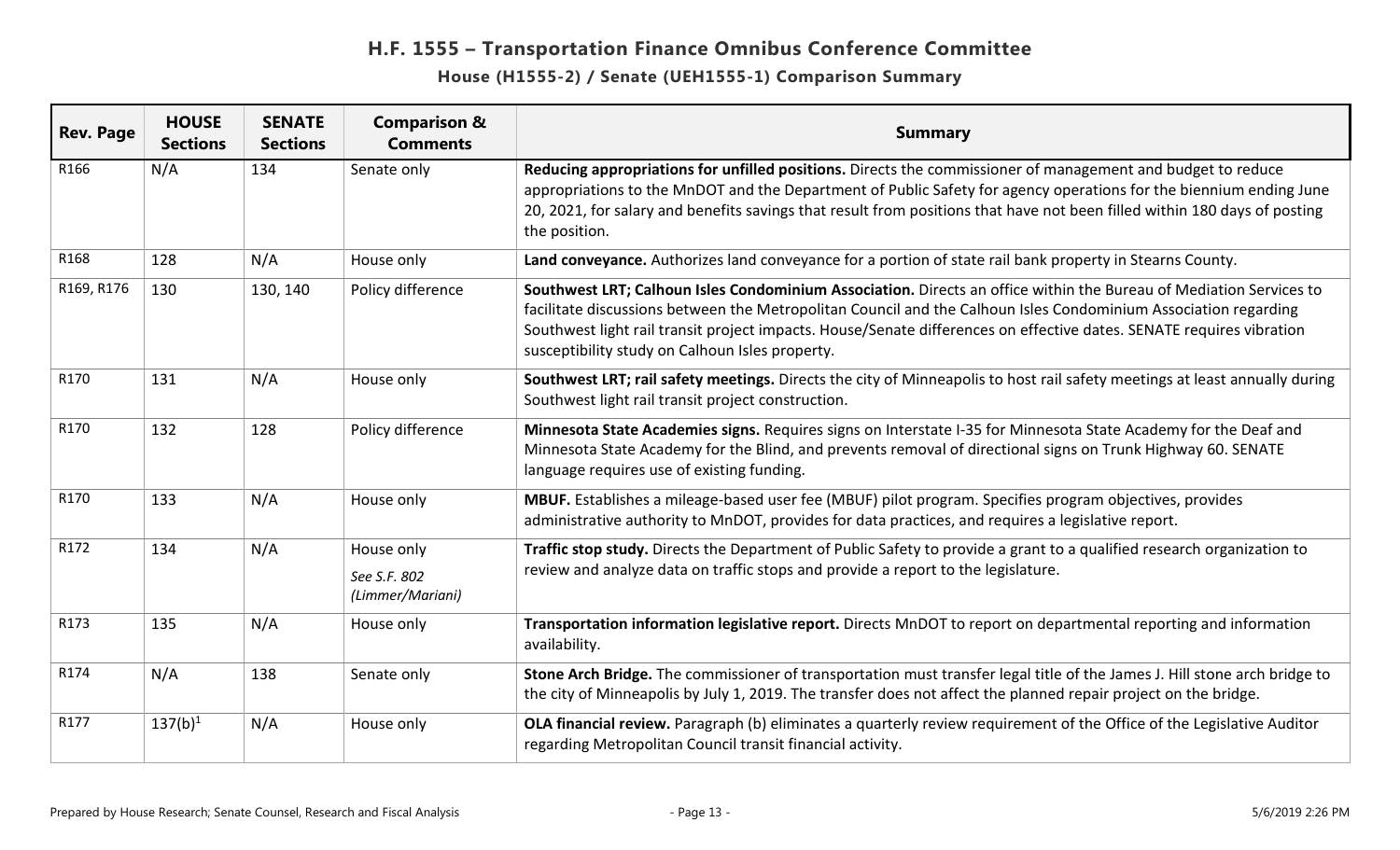| <b>Rev. Page</b> | <b>HOUSE</b><br><b>Sections</b> | <b>SENATE</b><br><b>Sections</b> | <b>Comparison &amp;</b><br><b>Comments</b>     | <b>Summary</b>                                                                                                                                                                                                                                                                                                                                                                                                   |
|------------------|---------------------------------|----------------------------------|------------------------------------------------|------------------------------------------------------------------------------------------------------------------------------------------------------------------------------------------------------------------------------------------------------------------------------------------------------------------------------------------------------------------------------------------------------------------|
| R166             | N/A                             | 134                              | Senate only                                    | Reducing appropriations for unfilled positions. Directs the commissioner of management and budget to reduce<br>appropriations to the MnDOT and the Department of Public Safety for agency operations for the biennium ending June<br>20, 2021, for salary and benefits savings that result from positions that have not been filled within 180 days of posting<br>the position.                                  |
| R168             | 128                             | N/A                              | House only                                     | Land conveyance. Authorizes land conveyance for a portion of state rail bank property in Stearns County.                                                                                                                                                                                                                                                                                                         |
| R169, R176       | 130                             | 130, 140                         | Policy difference                              | Southwest LRT; Calhoun Isles Condominium Association. Directs an office within the Bureau of Mediation Services to<br>facilitate discussions between the Metropolitan Council and the Calhoun Isles Condominium Association regarding<br>Southwest light rail transit project impacts. House/Senate differences on effective dates. SENATE requires vibration<br>susceptibility study on Calhoun Isles property. |
| R170             | 131                             | N/A                              | House only                                     | Southwest LRT; rail safety meetings. Directs the city of Minneapolis to host rail safety meetings at least annually during<br>Southwest light rail transit project construction.                                                                                                                                                                                                                                 |
| R170             | 132                             | 128                              | Policy difference                              | Minnesota State Academies signs. Requires signs on Interstate I-35 for Minnesota State Academy for the Deaf and<br>Minnesota State Academy for the Blind, and prevents removal of directional signs on Trunk Highway 60. SENATE<br>language requires use of existing funding.                                                                                                                                    |
| R170             | 133                             | N/A                              | House only                                     | MBUF. Establishes a mileage-based user fee (MBUF) pilot program. Specifies program objectives, provides<br>administrative authority to MnDOT, provides for data practices, and requires a legislative report.                                                                                                                                                                                                    |
| R172             | 134                             | N/A                              | House only<br>See S.F. 802<br>(Limmer/Mariani) | Traffic stop study. Directs the Department of Public Safety to provide a grant to a qualified research organization to<br>review and analyze data on traffic stops and provide a report to the legislature.                                                                                                                                                                                                      |
| R173             | 135                             | N/A                              | House only                                     | Transportation information legislative report. Directs MnDOT to report on departmental reporting and information<br>availability.                                                                                                                                                                                                                                                                                |
| R174             | N/A                             | 138                              | Senate only                                    | Stone Arch Bridge. The commissioner of transportation must transfer legal title of the James J. Hill stone arch bridge to<br>the city of Minneapolis by July 1, 2019. The transfer does not affect the planned repair project on the bridge.                                                                                                                                                                     |
| R177             | $137(b)^1$                      | N/A                              | House only                                     | OLA financial review. Paragraph (b) eliminates a quarterly review requirement of the Office of the Legislative Auditor<br>regarding Metropolitan Council transit financial activity.                                                                                                                                                                                                                             |